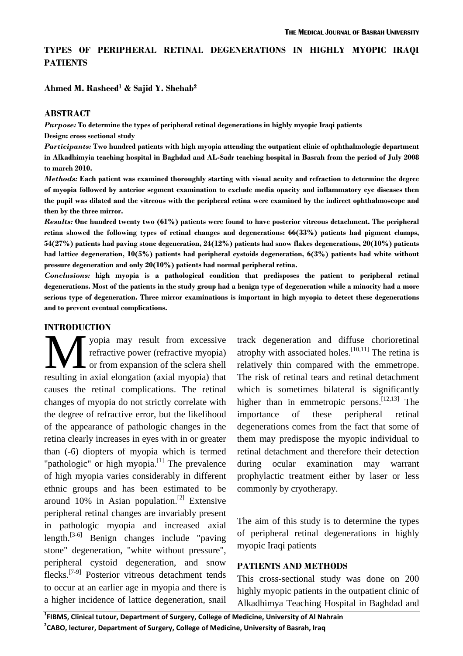# **TYPES OF PERIPHERAL RETINAL DEGENERATIONS IN HIGHLY MYOPIC IRAQI PATIENTS**

### **Ahmed M. Rasheed1 & Sajid Y. Shehab2**

#### **ABSTRACT**

*Purpose:* **To determine the types of peripheral retinal degenerations in highly myopic Iraqi patients** 

**Design: cross sectional study** 

*Participants:* **Two hundred patients with high myopia attending the outpatient clinic of ophthalmologic department in Alkadhimyia teaching hospital in Baghdad and AL-Sadr teaching hospital in Basrah from the period of July 2008 to march 2010.** 

*Methods:* **Each patient was examined thoroughly starting with visual acuity and refraction to determine the degree of myopia followed by anterior segment examination to exclude media opacity and inflammatory eye diseases then the pupil was dilated and the vitreous with the peripheral retina were examined by the indirect ophthalmoscope and then by the three mirror.** 

*Results:* **One hundred twenty two (61%) patients were found to have posterior vitreous detachment. The peripheral retina showed the following types of retinal changes and degenerations: 66(33%) patients had pigment clumps, 54(27%) patients had paving stone degeneration, 24(12%) patients had snow flakes degenerations, 20(10%) patients had lattice degeneration, 10(5%) patients had peripheral cystoids degeneration, 6(3%) patients had white without pressure degeneration and only 20(10%) patients had normal peripheral retina.** 

*Conclusions:* **high myopia is a pathological condition that predisposes the patient to peripheral retinal degenerations. Most of the patients in the study group had a benign type of degeneration while a minority had a more serious type of degeneration. Three mirror examinations is important in high myopia to detect these degenerations and to prevent eventual complications.** 

### **INTRODUCTION**

yopia may result from excessive refractive power (refractive myopia) or from expansion of the sclera shell **WE SECUTE:**<br>
yopia may result from excessive<br>
refractive power (refractive myopia)<br>
or from expansion of the sclera shell<br>
resulting in axial elongation (axial myopia) that causes the retinal complications. The retinal changes of myopia do not strictly correlate with the degree of refractive error, but the likelihood of the appearance of pathologic changes in the retina clearly increases in eyes with in or greater than (-6) diopters of myopia which is termed "pathologic" or high myopia.<sup>[1]</sup> The prevalence of high myopia varies considerably in different ethnic groups and has been estimated to be around  $10\%$  in Asian population.<sup>[2]</sup> Extensive peripheral retinal changes are invariably present in pathologic myopia and increased axial length. $[3-6]$  Benign changes include "paving" stone" degeneration, "white without pressure", peripheral cystoid degeneration, and snow flecks.[7-9] Posterior vitreous detachment tends to occur at an earlier age in myopia and there is a higher incidence of lattice degeneration, snail

track degeneration and diffuse chorioretinal atrophy with associated holes.<sup>[10,11]</sup> The retina is relatively thin compared with the emmetrope. The risk of retinal tears and retinal detachment which is sometimes bilateral is significantly higher than in emmetropic persons.  $[12,13]$  The importance of these peripheral retinal degenerations comes from the fact that some of them may predispose the myopic individual to retinal detachment and therefore their detection during ocular examination may warrant prophylactic treatment either by laser or less commonly by cryotherapy.

The aim of this study is to determine the types of peripheral retinal degenerations in highly myopic Iraqi patients

### **PATIENTS AND METHODS**

This cross-sectional study was done on 200 highly myopic patients in the outpatient clinic of Alkadhimya Teaching Hospital in Baghdad and

**1 FIBMS, Clinical tutour, Department of Surgery, College of Medicine, University of Al Nahrain 2 CABO, lecturer, Department of Surgery, College of Medicine, University of Basrah, Iraq**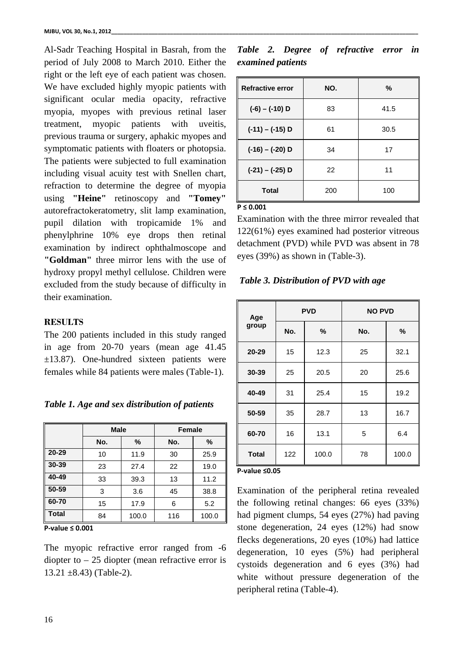Al-Sadr Teaching Hospital in Basrah, from the period of July 2008 to March 2010. Either the right or the left eye of each patient was chosen. We have excluded highly myopic patients with significant ocular media opacity, refractive myopia, myopes with previous retinal laser treatment, myopic patients with uveitis, previous trauma or surgery, aphakic myopes and symptomatic patients with floaters or photopsia. The patients were subjected to full examination including visual acuity test with Snellen chart, refraction to determine the degree of myopia using **"Heine"** retinoscopy and **"Tomey"** autorefractokeratometry, slit lamp examination, pupil dilation with tropicamide 1% and phenylphrine 10% eye drops then retinal examination by indirect ophthalmoscope and **"Goldman"** three mirror lens with the use of hydroxy propyl methyl cellulose. Children were excluded from the study because of difficulty in their examination.

## **RESULTS**

The 200 patients included in this study ranged in age from 20-70 years (mean age 41.45 ±13.87). One-hundred sixteen patients were females while 84 patients were males (Table-1).

| Table 1. Age and sex distribution of patients |  |  |
|-----------------------------------------------|--|--|
|-----------------------------------------------|--|--|

|              | <b>Male</b> |       | <b>Female</b> |       |  |
|--------------|-------------|-------|---------------|-------|--|
|              | No.         | %     | No.           | %     |  |
| $20 - 29$    | 10          | 11.9  | 30            | 25.9  |  |
| 30-39        | 23          | 27.4  | 22            | 19.0  |  |
| 40-49        | 33          | 39.3  | 13            | 11.2  |  |
| 50-59        | 3           | 3.6   | 45            | 38.8  |  |
| 60-70        | 15          | 17.9  | 6             | 5.2   |  |
| <b>Total</b> | 84          | 100.0 | 116           | 100.0 |  |

**P‐value ≤ 0.001**

The myopic refractive error ranged from  $-6$ diopter to  $-25$  diopter (mean refractive error is  $13.21 \pm 8.43$ ) (Table-2).

|  |                   | Table 2. Degree of refractive error in |  |
|--|-------------------|----------------------------------------|--|
|  | examined patients |                                        |  |

| <b>Refractive error</b> | NO. | $\%$ |
|-------------------------|-----|------|
| $(-6) - (-10)$ D        | 83  | 41.5 |
| $(-11) - (-15)$ D       | 61  | 30.5 |
| $(-16) - (-20)$ D       | 34  | 17   |
| $(-21) - (-25)$ D       | 22  | 11   |
| <b>Total</b>            | 200 | 100  |

**P ≤ 0.001**

Examination with the three mirror revealed that 122(61%) eyes examined had posterior vitreous detachment (PVD) while PVD was absent in 78 eyes (39%) as shown in (Table-3).

 *Table 3. Distribution of PVD with age* 

| Age          | <b>PVD</b> |       | <b>NO PVD</b> |       |  |
|--------------|------------|-------|---------------|-------|--|
| group        | No.        | ℅     | No.           | ℅     |  |
| 20-29        | 15         | 12.3  | 25            | 32.1  |  |
| 30-39        | 25         | 20.5  | 20            | 25.6  |  |
| 40-49        | 31         | 25.4  | 15            | 19.2  |  |
| 50-59        | 35         | 28.7  | 13            | 16.7  |  |
| 60-70        | 16         | 13.1  | 5             | 6.4   |  |
| <b>Total</b> | 122        | 100.0 | 78            | 100.0 |  |

#### **P‐value ≤0.05**

Examination of the peripheral retina revealed the following retinal changes: 66 eyes (33%) had pigment clumps, 54 eyes (27%) had paving stone degeneration, 24 eyes (12%) had snow flecks degenerations, 20 eyes (10%) had lattice degeneration, 10 eyes (5%) had peripheral cystoids degeneration and 6 eyes (3%) had white without pressure degeneration of the peripheral retina (Table-4).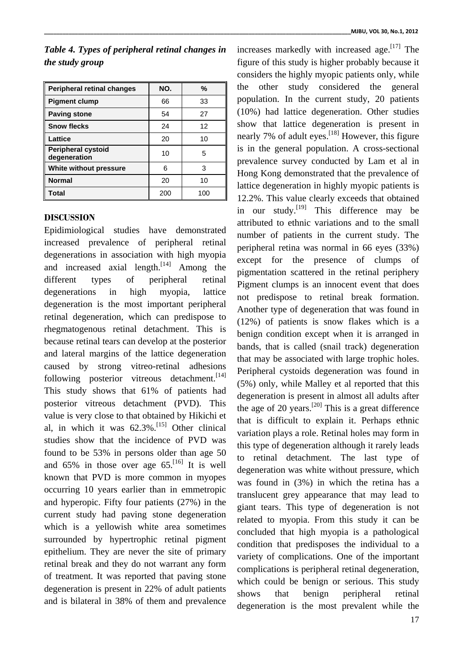# *Table 4. Types of peripheral retinal changes in the study group*

| <b>Peripheral retinal changes</b>         | NO. | %   |
|-------------------------------------------|-----|-----|
| <b>Pigment clump</b>                      | 66  | 33  |
| <b>Paving stone</b>                       | 54  | 27  |
| <b>Snow flecks</b>                        | 24  | 12  |
| Lattice                                   | 20  | 10  |
| <b>Peripheral cystoid</b><br>degeneration | 10  | 5   |
| White without pressure                    | 6   | 3   |
| <b>Normal</b>                             | 20  | 10  |
| Total                                     | 200 | 100 |

## **DISCUSSION**

Epidimiological studies have demonstrated increased prevalence of peripheral retinal degenerations in association with high myopia and increased axial length. $[14]$  Among the different types of peripheral retinal degenerations in high myopia, lattice degeneration is the most important peripheral retinal degeneration, which can predispose to rhegmatogenous retinal detachment. This is because retinal tears can develop at the posterior and lateral margins of the lattice degeneration caused by strong vitreo-retinal adhesions following posterior vitreous detachment.<sup>[14]</sup> This study shows that 61% of patients had posterior vitreous detachment (PVD). This value is very close to that obtained by Hikichi et al, in which it was  $62.3\%$ .<sup>[15]</sup> Other clinical studies show that the incidence of PVD was found to be 53% in persons older than age 50 and 65% in those over age 65.<sup>[16]</sup> It is well known that PVD is more common in myopes occurring 10 years earlier than in emmetropic and hyperopic. Fifty four patients (27%) in the current study had paving stone degeneration which is a yellowish white area sometimes surrounded by hypertrophic retinal pigment epithelium. They are never the site of primary retinal break and they do not warrant any form of treatment. It was reported that paving stone degeneration is present in 22% of adult patients and is bilateral in 38% of them and prevalence increases markedly with increased age. $\left[17\right]$  The figure of this study is higher probably because it considers the highly myopic patients only, while the other study considered the general population. In the current study, 20 patients (10%) had lattice degeneration. Other studies show that lattice degeneration is present in nearly 7% of adult eyes.<sup>[18]</sup> However, this figure is in the general population. A cross-sectional prevalence survey conducted by Lam et al in Hong Kong demonstrated that the prevalence of lattice degeneration in highly myopic patients is 12.2%. This value clearly exceeds that obtained in our study.<sup>[19]</sup> This difference may be attributed to ethnic variations and to the small number of patients in the current study. The peripheral retina was normal in 66 eyes (33%) except for the presence of clumps of pigmentation scattered in the retinal periphery Pigment clumps is an innocent event that does not predispose to retinal break formation. Another type of degeneration that was found in (12%) of patients is snow flakes which is a benign condition except when it is arranged in bands, that is called (snail track) degeneration that may be associated with large trophic holes. Peripheral cystoids degeneration was found in (5%) only, while Malley et al reported that this degeneration is present in almost all adults after the age of 20 years.<sup>[20]</sup> This is a great difference that is difficult to explain it. Perhaps ethnic variation plays a role. Retinal holes may form in this type of degeneration although it rarely leads to retinal detachment. The last type of degeneration was white without pressure, which was found in (3%) in which the retina has a translucent grey appearance that may lead to giant tears. This type of degeneration is not related to myopia. From this study it can be concluded that high myopia is a pathological condition that predisposes the individual to a variety of complications. One of the important complications is peripheral retinal degeneration, which could be benign or serious. This study shows that benign peripheral retinal degeneration is the most prevalent while the